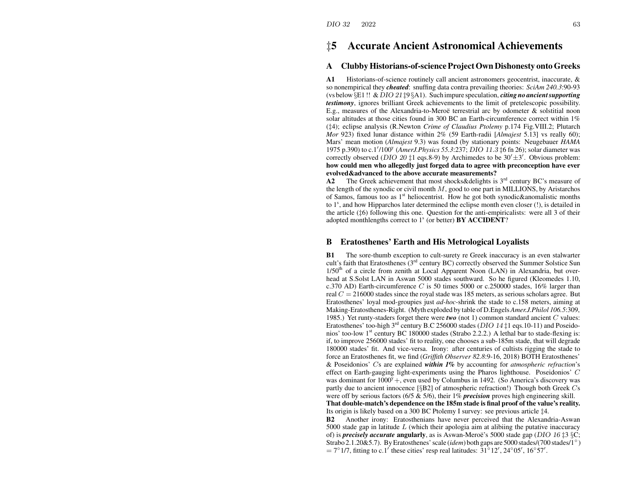# ‡**5 Accurate Ancient Astronomical Achievements**

#### **AClubby Historians-of-scienceProjectOwn Dishonesty onto Greeks**

**A1** Historians-of-science routinely call ancient astronomers geocentrist, inaccurate, & so nonempirical they *cheated*: snuffing data contra prevailing theories: *SciAm 240.3*:90-93 (vs below §E1 !! &DIO 21 ‡9 §A1). Such impure speculation, *citing no ancientsupporting testimony*, ignores brilliant Greek achievements to the limit of pretelescopic possibility. E.g., measures of the Alexandria-to-Meroe terrestrial arc by odometer  $\&$  solstitial noon solar altitudes at those cities found in 300 BC an Earth-circumference correct within 1% (‡4); eclipse analysis (R.Newton *Crime of Claudius Ptolemy* p.174 Fig.VIII.2; Plutarch *Mor* 923) fixed lunar distance within 2% (59 Earth-radii [*Almajest* 5.13] vs really 60); Mars' mean motion (*Almajest* 9.3) was found (by stationary points: Neugebauer *HAMA* 1975 p.390) to c.1<sup>0</sup>/100<sup>y</sup> (*AmerJ.Physics 55.3*:237; DIO 11.3 ‡<sup>6</sup> fn 26); solar diameter was correctly observed (DIO 20  $\ddagger$ 1 eqs.8-9) by Archimedes to be 30' $\pm$ 3'. Obvious problem: **how could men who allegedly just forged data to agree with preconception have ever evolved&advanced to the above accurate measurements?**

**A2**The Greek achievement that most shocks & delights is  $3<sup>rd</sup>$  century BC's measure of the length of the synodic or civil month  $M$ , good to one part in MILLIONS, by Aristarchos of Samos, famous too as  $1<sup>st</sup>$  heliocentrist. How he got both synodic&anomalistic months to  $1<sup>s</sup>$ , and how Hipparchos later determined the eclipse month even closer (!), is detailed in the article (‡6) following this one. Question for the anti-empiricalists: were all 3 of their adopted monthlengths correct to 1<sup>s</sup> (or better) **BY ACCIDENT**?

#### **BEratosthenes' Earth and His Metrological Loyalists**

**B1** The sore-thumb exception to cult-surety re Greek inaccuracy is an even stalwarter cult's faith that Eratosthenes ( $3<sup>rd</sup>$  century BC) correctly observed the Summer Solstice Sun  $1/50<sup>th</sup>$  of a circle from zenith at Local Apparent Noon (LAN) in Alexandria, but overhead at S.Solst LAN in Aswan 5000 stades southward. So he figured (Kleomedes 1.10, c.370 AD) Earth-circumference C is 50 times 5000 or c.250000 stades, 16% larger than real  $C = 216000$  stades since the royal stade was 185 meters, as serious scholars agree. But Eratosthenes' loyal mod-groupies just *ad-hoc*-shrink the stade to c.158 meters, aiming at Making-Eratosthenes-Right. (Myth exploded by table of D.Engels *Amer.J.Philol 106.5*:309, 1985.) Yet runty-staders forget there were *two* (not 1) common standard ancient C values: Eratosthenes' too-high 3<sup>rd</sup> century B.C 256000 stades (*DIO* 14<sup> $\ddagger$ </sup>1 eqs.10-11) and Poseidonios' too-low 1<sup>st</sup> century BC 180000 stades (Strabo 2.2.2.) A lethal bar to stade-flexing is: if, to improve 256000 stades' fit to reality, one chooses <sup>a</sup> sub-185m stade, that will degrade 180000 stades' fit. And vice-versa. Irony: after centuries of cultists rigging the stade to force an Eratosthenes fit, we find (*Griffith Observer 82.8*:9-16, 2018) BOTH Eratosthenes' & Poseidonios' C<sup>s</sup> are explained *within 1%* by accounting for *atmospheric refraction*'s effect on Earth-gauging light-experiments using the Pharos lighthouse. Poseidonios' C was dominant for  $1000^{\circ}$  +, even used by Columbus in 1492. (So America's discovery was partly due to ancient innocence  $\lceil \S$ B2] of atmospheric refraction!) Though both Greek Cs were off by serious factors (6/5 & 5/6), their 1% *precision* proves high engineering skill.

**That double-match's dependence on the 185m stade is final proof of the value's reality.** Its origin is likely based on <sup>a</sup> 300 BC Ptolemy I survey: see previous article ‡4.

**B2** Another irony: Eratosthenians have never perceived that the Alexandria-Aswan 5000 stade gap in latitude  $L$  (which their apologia aim at alibiing the putative inaccuracy of) is *precisely accurate* angularly, as is Aswan-Meroe's 5000 stade gap (DIO 16  $\sharp 3 \S C$ ; Strabo 2.1.20&5.7). ByEratosthenes'scale (*idem*) both gaps are 5000 stades/(700 stades/1◦ )  $= 7°1/7$ , fitting to c.1' these cities' resp real latitudes:  $31°12'$ ,  $24°05'$ ,  $16°57'$ .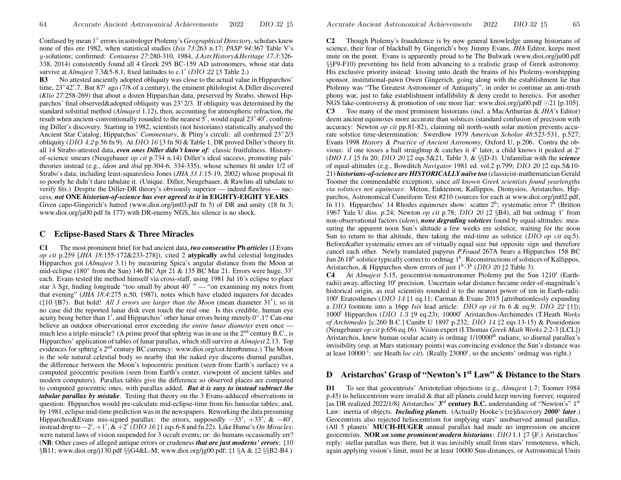Confused by mean 1◦ errorsin astrologer Ptolemy's *Geographical Directory*, scholars kne wnone of this ere 1982, when statistical studies (*Isis 73*:263 n.17; *PASP 94*:367 Table V's y-solutions; confirmed: *Centaurus 27*:280-310, 1984, *J.Astr.History&Heritage 17.3*:326- 338, 2014) consistently found all 4 Greek 295 BC-159 AD astronomers, whose star data survive at *Almajest* 7.3&5-8.1, fixed latitudes to c.1' (DIO 22 ‡3 Table 2.)

**B3** No attested anciently adopted obliquity was close to the actual value in Hipparchos' time,  $23^{\circ}42'$ .7. But  $87^{\circ}$  ago (7/8 of a century), the eminent philologist A.Diller discovered (*Klio 27*:258-269) that about <sup>a</sup> dozen Hipparchan data, preserved by Strabo, showed Hipparchos' final observed&adopted obliquity was 23<sup>◦</sup>2/3. If obliquity was determined by the standard solstitial method (*Almajest* 1.12), then, accounting for atmospheric refraction, the result when ancient-conventionally rounded to the nearest  $5'$ , would equal  $23°40'$ , confirming Diller's discovery. Starting in 1982, scientists (not historians) statistically analysed the Ancient Star Catalog, Hipparchos' *Commentary*, & Pliny's circuli: all confirmed 23◦2/3 obliquity (DIO 4.2 p.56 fn 9). At DIO 16  $\ddagger 3$  fn 50 & Table 1, DR proved Diller's theory fit all 14 Strabo-attested data, *even ones Diller didn't kno w of*: classic fruitfulness. Historyof-science smears (Neugebauer *op cit* p.734 n.14) Diller's ideal success, promoting pals' theories instead (e.g., *idem* and *ibid* pp.304-6, 334-335), whose schemes fit under 1/2 of Strabo's data; including least-squaresless Jones (*JHA 33.1*:15-19, 2002) whose proposal fit so poorly he didn't dare tabulate it. (Unique. Diller, Neugebauer, & Rawlins all tabulate to verify fits.) Despite the Diller-DR theory's obviously superior — indeed flawless — success, *not* **ONE** *historian-of-science has ever agreed to it* **in EIGHTY-EIGHT YEARS**. Given capo-Gingerich's hatred (www.dioi.org/jm03.pdf fn 5) of DR and amity (‡8 fn 3; www.dioi.org/ja00.pdf fn 177) with DR-enemy NGS, his silence is no shock.

### **C Eclipse-Based Stars & Three Miracles**

**C1** The most prominent brief for bad ancient data, *two consecutive* **Pb** *articles* (J.Evans *op cit* p.259 [*JHA 18*:155-172&233-278]), cited 2 **atypically** awful celestial longitudes Hipparchos go<sup>t</sup> (*Almajest* 3.1) by measuring Spica's angular distance from the Moon at mid-eclipse (180 $\textdegree$  from the Sun) 146 BC Apr 21 & 135 BC Mar 21. Errors were huge, 33' each. Evans tested the method himself via cross-staff, using 1981 Jul 16's eclipse to place star  $\lambda$  Sgr, finding longitude "too small by about 40' " — "on examining my notes from that evening" (*JHA 18.4*:275 n.50, 1987), notes which have eluded inquirers for decades ( $\pm 10$  §B7). But hold! *All 3 errors are larger than the Moon* (mean diameter 31'), so in no case did the reported lunar disk even touch the real one. Is this credible, human eye acuity being better than 1', and Hipparchos' other lunar errors being merely  $0°.1?$  Can one believe an outdoor observational error exceeding *the entire lunar diameter* even once much less a triple-miracle? (A prime proof that sphtrig was in use in the  $2<sup>nd</sup>$  century B.C., is Hipparchos' application of tables of lunar parallax, which still survive at *Almajest* 2.13. Top evidences for sphtrig's 2<sup>nd</sup> century BC currency: www.dioi.org/cot.htm#mmsz.) The Moon is the sole natural celestial body so nearby that the naked eye discerns diurnal parallax, the difference between the Moon's topocentric position (seen from Earth's surface) vs <sup>a</sup> computed geocentric position (seen from Earth's center, viewpoint of ancient tables and modern computers). Parallax tables give the difference so observed places are compared to computed geocentric ones, with parallax added. *But it is easy to instead subtract the tabular parallax by mistake*. Testing that theory on the 3 Evans-adduced observations in question: Hipparchos would pre-calculate mid-eclipse-time from his lunisolar tables; and, by 1981, eclipse mid-time prediction wasin the newspapers. Re working the data presuming Hipparchos&Evans mis-signed parallax: the errors, supposedly  $-33'$ ,  $+33'$ , &  $-40'$ , instead drop to  $-2'$ ,  $+1'$ ,  $\&$   $+2'$  (DIO 16 $\ddagger$ 1 eqs.6-8 and fn 22). Like Hume's *On Miracles*: were natural laws of vision suspended for 3 occult events; or: do humans occasionally err? (**NB**: Other cases of alleged antique errors or crudeness *that are just moderns' errors*: ‡10 §B11; www.dioi.org/j130.pdf §§G4&L-M; www.dioi.org/jg00.pdf; ‡1 §A & ‡2 §§B2-B4.)

**C2**2 Though Ptolemy's fraudulence is by now general knowledge among historians of science, their fear of blackball by Gingerich's boy Jimmy Evans, *JHA* Editor, keeps most mute on the point. Evans is apparently proud to be The Bul wark (www.dioi.org/ju00.pdf §§F9-F10) preventing his field from advancing to <sup>a</sup> realistic grasp of Greek astronomy. His exclusive priority instead: kissing unto death the brains of his Ptolemy-worshipping sponsor, institutional-pawn Owen Gingerich, going along with the establishment lie that Ptolemy was "The Greatest Astronomer of Antiquity", in order to continue an anti-truth phony war, just to fake establishment infallibility  $\&$  deny credit to heretics. For another NGS fake-controversy & promotion of one more liar: www.dioi.org/ja00.pdf  $\odot$ 21 [p.105]. **C3**Too many of the most prominent historians (incl. <sup>a</sup> MacArthurian & *JHA*'s Editor) deem ancient equinoxes more accurate than solstices (standard confusion of precision with accuracy: Newton *op cit* pp.81-82), claiming nil north-south solar motion prevents accurate solstice time-determination: Swerdlo w 1979 *American Scholar 48*:523-531, p.527; Evans 1998 *History & Practice of Ancient Astronomy*, Oxford U, p.206. Contra the obvious: if one tosses a ball straightup & catches it  $4^s$  later, a child knows it peaked at  $2^s$ (*DIO 1.1* ‡5 fn 20; DIO 20 ‡2 eqs.5&21, Table 3, & §§D-J). Unfamiliar with the *science* of equal-altitudes (e.g., Bowditch *Navigator* 1981 ed. vol.2 p.799; DIO 20 ‡2 eqs.5&10- 21) *historians-of-science are HISTORICALL Yna¨ıve too* (classicist-mathematician Gerald Toomer the commendable exception), since *all known Greek scientists found yearlengths via solstices not equinoxes*: Meton, Euktemon, Kallippos, Dionysios, Aristarchos, Hipparchos, Astronomical Cuneiform Text #210 (sources for each at www.dioi.org/jm02.pdf, fn 11). Hipparchos' 14 Rhodes equinoxes show: scatter  $2^h$ ; systematic error  $7^h$  (Britton 1967 Yale U diss. p.24; Newton *op cit* p.78; DIO 20 ‡2 §B4), all but ordmag 1' from non-observational factors (*idem*), *none degrading solstices* found by equal-altitudes: measuring the apparen<sup>t</sup> noon Sun's altitude <sup>a</sup> fe w weeks ere solstice, waiting for the noon Sun to return to that altitude, then taking the mid-time as solstice (DIO *op cit* eq.5). Before&after systematic errors are of virtually equal size but opposite sign and therefore cancel each other. Newly translated papyrus *P.Fouad* 267A bears <sup>a</sup> Hipparchos 158 BC Jun 26  $18<sup>h</sup>$  solstice typically correct to ordmag  $1<sup>h</sup>$ . Reconstructions of solstices of Kallippos, Aristarchos, & Hipparchos show errors of just  $1<sup>h</sup>$ -3<sup>h</sup> (DIO 20 ‡2 Table 3).

**C4** At *Almajest* 5.15, geocentrist-nonastronomer Ptolemy put the Sun  $1210^{\circ}$  (Earthradii) away, affecting 10<sup>r</sup> precision. Uncertain solar distance became order-of-magnitude's historical origin, as real scientists rounded it to the nearest power of ten in Earth-radii: 100<sup>r</sup> Eratosthenes (DIO 14 ‡1 eq.11; Carman & Evans 2015 [attributionlessly expanding a DIO footnote into <sup>a</sup> 16pp *Isis* lead article: DIO *op cit* fn 6 & eq.9; DIO 22 ‡1]); 1000<sup>r</sup> Hipparchos (DIO 1.3 ‡9 eq.23); 10000<sup>r</sup> Aristarchos-Archimedes (T.Heath *Worksof Archimedes* [c.260 B.C.] Cambr U 1897 p.232; DIO 14 ‡2 eqs.13-15) & Poseidonios (Neugebauer *op cit* p.656 eq.16). Vision exper<sup>t</sup> (I.Thomas *Greek Math Works 2*:2-3 [LCL]) Aristarchos, knew human ocular acuity is ordmag 1/10000<sup>th</sup> radians; so diurnal parallax's invisibility (esp. at Mars stationary points) was convincing evidence the Sun's distance was at least 10000<sup>r</sup>: see Heath *loc cit*). (Really 23000<sup>r</sup>, so the ancients' ordmag was right.)

## **D Aristarchos' Grasp of "Newton's <sup>1</sup>st Law" & Distance to the Stars**

**D1**To see that geocentrists' Aristotelian objections (e.g., *Almajest* 1.7; Toomer 1984p.45) to heliocentrism were invalid & that all planets could keep moving forever, required [as DR realized 2022/1/8] Aristarchos' **<sup>3</sup>**rd **century B.C.** understanding of "Newton's" <sup>1</sup>st Law: inertia of objects. *Including planets*. (Actually Hooke's [re]discovery *2000*<sup>y</sup> *later*.) Geocentrists also rejected heliocentrism for implying stars' unobserved annual parallax. (All 5 planets' **MUCH-HUGER** annual parallax had made no impression on ancient geocentrists. **NOR** *on some prominent modern historians*: DIO 1.1 ‡7 §F.) Aristarchos' reply: stellar parallax was there, but it was invisibly small from stars' remoteness, which, again applying vision's limit, must be at least 10000 Sun-distances, or Astronomical Units